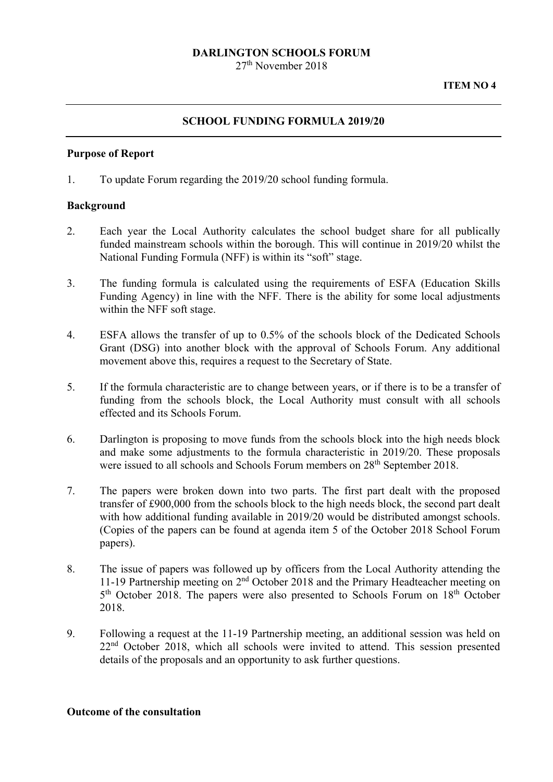## **DARLINGTON SCHOOLS FORUM**

27th November 2018

### **SCHOOL FUNDING FORMULA 2019/20**

#### **Purpose of Report**

1. To update Forum regarding the 2019/20 school funding formula.

#### **Background**

- 2. Each year the Local Authority calculates the school budget share for all publically funded mainstream schools within the borough. This will continue in 2019/20 whilst the National Funding Formula (NFF) is within its "soft" stage.
- 3. The funding formula is calculated using the requirements of ESFA (Education Skills Funding Agency) in line with the NFF. There is the ability for some local adjustments within the NFF soft stage.
- 4. ESFA allows the transfer of up to 0.5% of the schools block of the Dedicated Schools Grant (DSG) into another block with the approval of Schools Forum. Any additional movement above this, requires a request to the Secretary of State.
- 5. If the formula characteristic are to change between years, or if there is to be a transfer of funding from the schools block, the Local Authority must consult with all schools effected and its Schools Forum.
- 6. Darlington is proposing to move funds from the schools block into the high needs block and make some adjustments to the formula characteristic in 2019/20. These proposals were issued to all schools and Schools Forum members on 28<sup>th</sup> September 2018.
- 7. The papers were broken down into two parts. The first part dealt with the proposed transfer of £900,000 from the schools block to the high needs block, the second part dealt with how additional funding available in 2019/20 would be distributed amongst schools. (Copies of the papers can be found at agenda item 5 of the October 2018 School Forum papers).
- 8. The issue of papers was followed up by officers from the Local Authority attending the 11-19 Partnership meeting on 2nd October 2018 and the Primary Headteacher meeting on 5<sup>th</sup> October 2018. The papers were also presented to Schools Forum on 18<sup>th</sup> October 2018.
- 9. Following a request at the 11-19 Partnership meeting, an additional session was held on 22<sup>nd</sup> October 2018, which all schools were invited to attend. This session presented details of the proposals and an opportunity to ask further questions.

#### **Outcome of the consultation**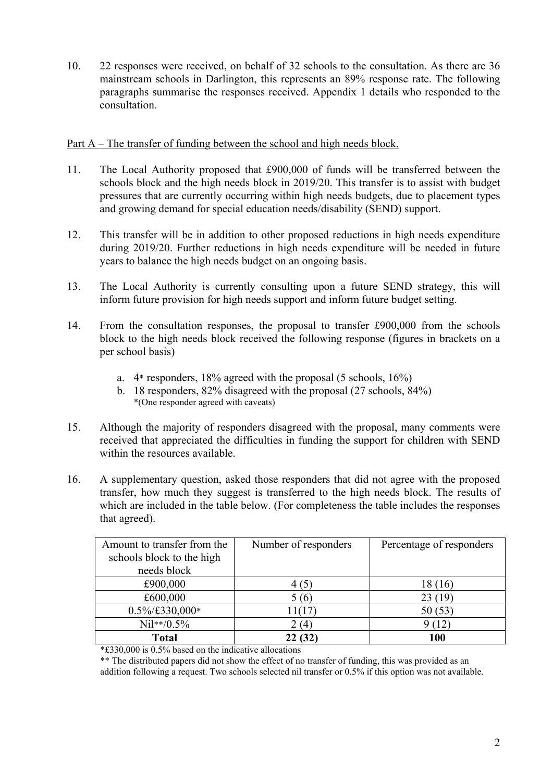10. 22 responses were received, on behalf of 32 schools to the consultation. As there are 36 mainstream schools in Darlington, this represents an 89% response rate. The following paragraphs summarise the responses received. Appendix 1 details who responded to the consultation.

## Part A – The transfer of funding between the school and high needs block.

- 11. The Local Authority proposed that £900,000 of funds will be transferred between the schools block and the high needs block in 2019/20. This transfer is to assist with budget pressures that are currently occurring within high needs budgets, due to placement types and growing demand for special education needs/disability (SEND) support.
- 12. This transfer will be in addition to other proposed reductions in high needs expenditure during 2019/20. Further reductions in high needs expenditure will be needed in future years to balance the high needs budget on an ongoing basis.
- 13. The Local Authority is currently consulting upon a future SEND strategy, this will inform future provision for high needs support and inform future budget setting.
- 14. From the consultation responses, the proposal to transfer £900,000 from the schools block to the high needs block received the following response (figures in brackets on a per school basis)
	- a. 4\* responders, 18% agreed with the proposal (5 schools, 16%)
	- b. 18 responders, 82% disagreed with the proposal (27 schools, 84%) \*(One responder agreed with caveats)
- 15. Although the majority of responders disagreed with the proposal, many comments were received that appreciated the difficulties in funding the support for children with SEND within the resources available.
- 16. A supplementary question, asked those responders that did not agree with the proposed transfer, how much they suggest is transferred to the high needs block. The results of which are included in the table below. (For completeness the table includes the responses that agreed).

| Amount to transfer from the | Number of responders | Percentage of responders |  |
|-----------------------------|----------------------|--------------------------|--|
| schools block to the high   |                      |                          |  |
| needs block                 |                      |                          |  |
| £900,000                    | 4 (5)                | 18 (16)                  |  |
| £600,000                    | 5 (6)                | 23(19)                   |  |
| $0.5\%$ /£330,000*          | 11(17                | 50(53)                   |  |
| $Ni1**/0.5%$                | (4)                  |                          |  |
| <b>Total</b>                | 22 (32)              | 100                      |  |

\*£330,000 is 0.5% based on the indicative allocations

\*\* The distributed papers did not show the effect of no transfer of funding, this was provided as an addition following a request. Two schools selected nil transfer or 0.5% if this option was not available.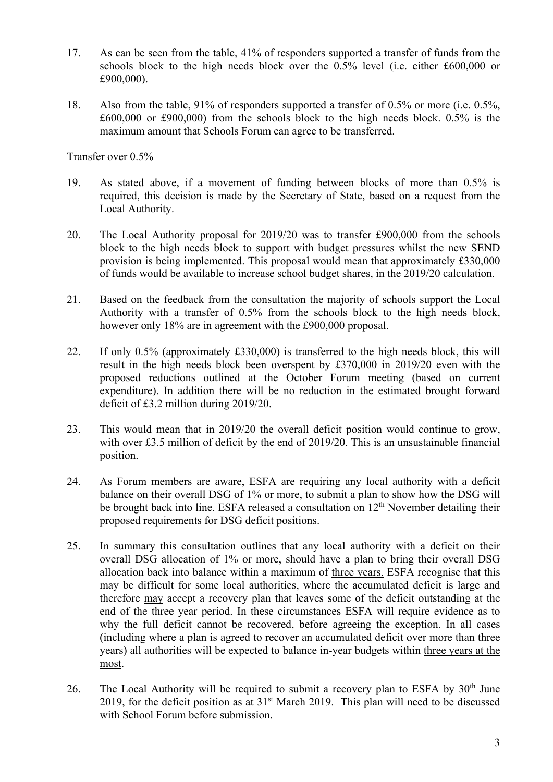- 17. As can be seen from the table, 41% of responders supported a transfer of funds from the schools block to the high needs block over the 0.5% level (i.e. either £600,000 or £900,000).
- 18. Also from the table, 91% of responders supported a transfer of 0.5% or more (i.e. 0.5%, £600,000 or £900,000) from the schools block to the high needs block. 0.5% is the maximum amount that Schools Forum can agree to be transferred.

Transfer over 0.5%

- 19. As stated above, if a movement of funding between blocks of more than 0.5% is required, this decision is made by the Secretary of State, based on a request from the Local Authority.
- 20. The Local Authority proposal for 2019/20 was to transfer £900,000 from the schools block to the high needs block to support with budget pressures whilst the new SEND provision is being implemented. This proposal would mean that approximately £330,000 of funds would be available to increase school budget shares, in the 2019/20 calculation.
- 21. Based on the feedback from the consultation the majority of schools support the Local Authority with a transfer of 0.5% from the schools block to the high needs block, however only 18% are in agreement with the £900,000 proposal.
- 22. If only 0.5% (approximately £330,000) is transferred to the high needs block, this will result in the high needs block been overspent by £370,000 in 2019/20 even with the proposed reductions outlined at the October Forum meeting (based on current expenditure). In addition there will be no reduction in the estimated brought forward deficit of £3.2 million during 2019/20.
- 23. This would mean that in 2019/20 the overall deficit position would continue to grow, with over £3.5 million of deficit by the end of 2019/20. This is an unsustainable financial position.
- 24. As Forum members are aware, ESFA are requiring any local authority with a deficit balance on their overall DSG of 1% or more, to submit a plan to show how the DSG will be brought back into line. ESFA released a consultation on 12<sup>th</sup> November detailing their proposed requirements for DSG deficit positions.
- allocation back into balance within a maximum of three years. ESFA recognise that this 25. In summary this consultation outlines that any local authority with a deficit on their overall DSG allocation of 1% or more, should have a plan to bring their overall DSG may be difficult for some local authorities, where the accumulated deficit is large and therefore may accept a recovery plan that leaves some of the deficit outstanding at the end of the three year period. In these circumstances ESFA will require evidence as to why the full deficit cannot be recovered, before agreeing the exception. In all cases (including where a plan is agreed to recover an accumulated deficit over more than three years) all authorities will be expected to balance in-year budgets within three years at the most.
- 26. The Local Authority will be required to submit a recovery plan to ESFA by  $30<sup>th</sup>$  June 2019, for the deficit position as at  $31<sup>st</sup>$  March 2019. This plan will need to be discussed with School Forum before submission.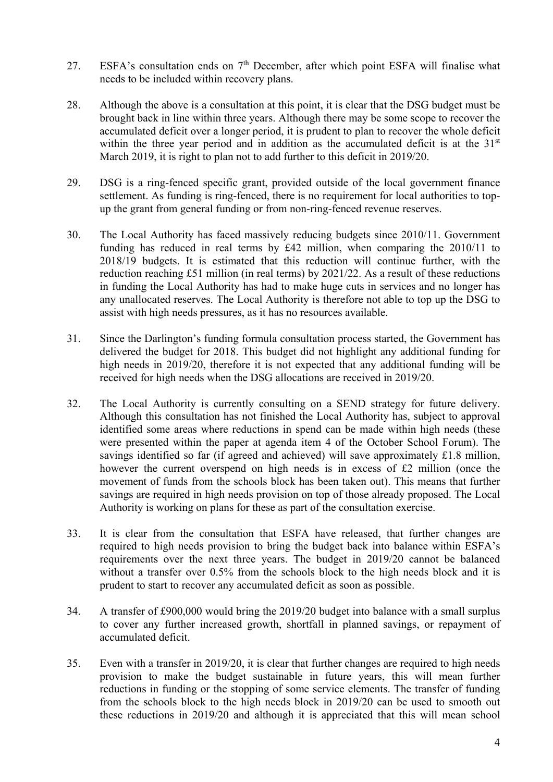- 27. ESFA's consultation ends on  $7<sup>th</sup>$  December, after which point ESFA will finalise what needs to be included within recovery plans.
- 28. Although the above is a consultation at this point, it is clear that the DSG budget must be brought back in line within three years. Although there may be some scope to recover the accumulated deficit over a longer period, it is prudent to plan to recover the whole deficit within the three year period and in addition as the accumulated deficit is at the 31<sup>st</sup> March 2019, it is right to plan not to add further to this deficit in 2019/20.
- 29. DSG is a ring-fenced specific grant, provided outside of the local government finance settlement. As funding is ring-fenced, there is no requirement for local authorities to topup the grant from general funding or from non-ring-fenced revenue reserves.
- 30. The Local Authority has faced massively reducing budgets since 2010/11. Government funding has reduced in real terms by £42 million, when comparing the 2010/11 to 2018/19 budgets. It is estimated that this reduction will continue further, with the reduction reaching £51 million (in real terms) by 2021/22. As a result of these reductions in funding the Local Authority has had to make huge cuts in services and no longer has any unallocated reserves. The Local Authority is therefore not able to top up the DSG to assist with high needs pressures, as it has no resources available.
- 31. Since the Darlington's funding formula consultation process started, the Government has delivered the budget for 2018. This budget did not highlight any additional funding for high needs in 2019/20, therefore it is not expected that any additional funding will be received for high needs when the DSG allocations are received in 2019/20.
- 32. The Local Authority is currently consulting on a SEND strategy for future delivery. Although this consultation has not finished the Local Authority has, subject to approval identified some areas where reductions in spend can be made within high needs (these were presented within the paper at agenda item 4 of the October School Forum). The savings identified so far (if agreed and achieved) will save approximately £1.8 million, however the current overspend on high needs is in excess of £2 million (once the movement of funds from the schools block has been taken out). This means that further savings are required in high needs provision on top of those already proposed. The Local Authority is working on plans for these as part of the consultation exercise.
- 33. It is clear from the consultation that ESFA have released, that further changes are required to high needs provision to bring the budget back into balance within ESFA's requirements over the next three years. The budget in 2019/20 cannot be balanced without a transfer over 0.5% from the schools block to the high needs block and it is prudent to start to recover any accumulated deficit as soon as possible.
- 34. A transfer of £900,000 would bring the 2019/20 budget into balance with a small surplus to cover any further increased growth, shortfall in planned savings, or repayment of accumulated deficit.
- 35. Even with a transfer in 2019/20, it is clear that further changes are required to high needs provision to make the budget sustainable in future years, this will mean further reductions in funding or the stopping of some service elements. The transfer of funding from the schools block to the high needs block in 2019/20 can be used to smooth out these reductions in 2019/20 and although it is appreciated that this will mean school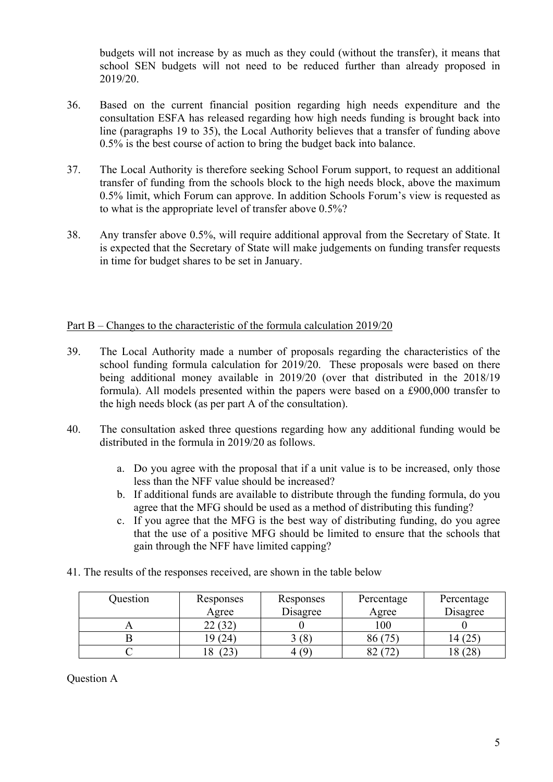budgets will not increase by as much as they could (without the transfer), it means that school SEN budgets will not need to be reduced further than already proposed in 2019/20.

- 36. Based on the current financial position regarding high needs expenditure and the consultation ESFA has released regarding how high needs funding is brought back into line (paragraphs 19 to 35), the Local Authority believes that a transfer of funding above 0.5% is the best course of action to bring the budget back into balance.
- 37. The Local Authority is therefore seeking School Forum support, to request an additional transfer of funding from the schools block to the high needs block, above the maximum 0.5% limit, which Forum can approve. In addition Schools Forum's view is requested as to what is the appropriate level of transfer above 0.5%?
- 38. Any transfer above 0.5%, will require additional approval from the Secretary of State. It is expected that the Secretary of State will make judgements on funding transfer requests in time for budget shares to be set in January.

## Part B – Changes to the characteristic of the formula calculation 2019/20

- 39. The Local Authority made a number of proposals regarding the characteristics of the school funding formula calculation for 2019/20. These proposals were based on there being additional money available in 2019/20 (over that distributed in the 2018/19 formula). All models presented within the papers were based on a £900,000 transfer to the high needs block (as per part A of the consultation).
- 40. The consultation asked three questions regarding how any additional funding would be distributed in the formula in 2019/20 as follows.
	- a. Do you agree with the proposal that if a unit value is to be increased, only those less than the NFF value should be increased?
	- b. If additional funds are available to distribute through the funding formula, do you agree that the MFG should be used as a method of distributing this funding?
	- c. If you agree that the MFG is the best way of distributing funding, do you agree that the use of a positive MFG should be limited to ensure that the schools that gain through the NFF have limited capping?

| Question | Responses | Responses | Percentage | Percentage |
|----------|-----------|-----------|------------|------------|
|          | Agree     | Disagree  | Agree      | Disagree   |
|          |           |           | 100        |            |
|          | 24.       |           | 86 (75     | l 4 (25    |
|          |           |           |            | 8          |

41. The results of the responses received, are shown in the table below

Question A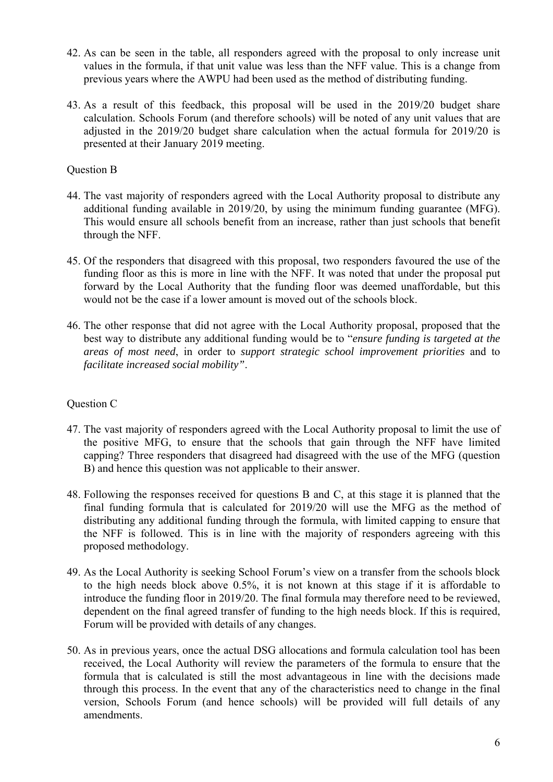- 42. As can be seen in the table, all responders agreed with the proposal to only increase unit values in the formula, if that unit value was less than the NFF value. This is a change from previous years where the AWPU had been used as the method of distributing funding.
- 43. As a result of this feedback, this proposal will be used in the 2019/20 budget share calculation. Schools Forum (and therefore schools) will be noted of any unit values that are adjusted in the 2019/20 budget share calculation when the actual formula for 2019/20 is presented at their January 2019 meeting.

# Question B

- 44. The vast majority of responders agreed with the Local Authority proposal to distribute any additional funding available in 2019/20, by using the minimum funding guarantee (MFG). This would ensure all schools benefit from an increase, rather than just schools that benefit through the NFF.
- 45. Of the responders that disagreed with this proposal, two responders favoured the use of the funding floor as this is more in line with the NFF. It was noted that under the proposal put forward by the Local Authority that the funding floor was deemed unaffordable, but this would not be the case if a lower amount is moved out of the schools block.
- *areas of most need*, in order to *support strategic school improvement priorities* and to 46. The other response that did not agree with the Local Authority proposal, proposed that the best way to distribute any additional funding would be to "*ensure funding is targeted at the facilitate increased social mobility"*.

#### Question C

- 47. The vast majority of responders agreed with the Local Authority proposal to limit the use of the positive MFG, to ensure that the schools that gain through the NFF have limited capping? Three responders that disagreed had disagreed with the use of the MFG (question B) and hence this question was not applicable to their answer.
- 48. Following the responses received for questions B and C, at this stage it is planned that the final funding formula that is calculated for 2019/20 will use the MFG as the method of distributing any additional funding through the formula, with limited capping to ensure that the NFF is followed. This is in line with the majority of responders agreeing with this proposed methodology.
- 49. As the Local Authority is seeking School Forum's view on a transfer from the schools block to the high needs block above 0.5%, it is not known at this stage if it is affordable to introduce the funding floor in 2019/20. The final formula may therefore need to be reviewed, dependent on the final agreed transfer of funding to the high needs block. If this is required, Forum will be provided with details of any changes.
- 50. As in previous years, once the actual DSG allocations and formula calculation tool has been received, the Local Authority will review the parameters of the formula to ensure that the formula that is calculated is still the most advantageous in line with the decisions made through this process. In the event that any of the characteristics need to change in the final version, Schools Forum (and hence schools) will be provided will full details of any amendments.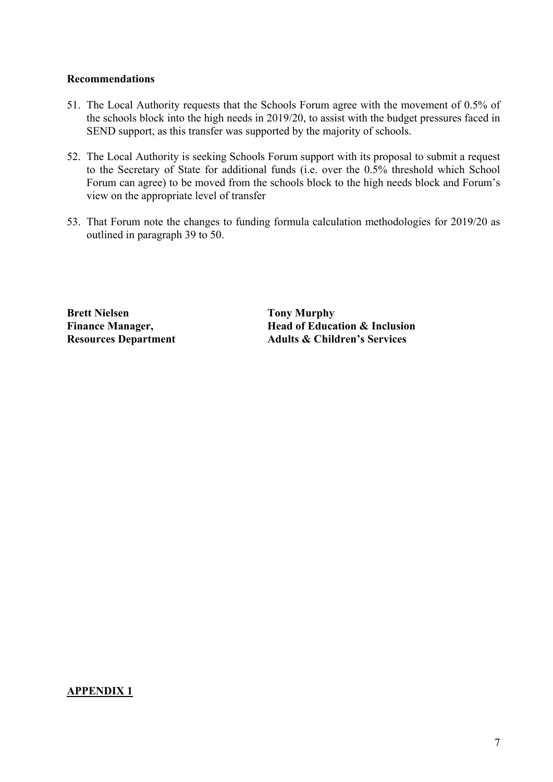### **Recommendations**

- 51. The Local Authority requests that the Schools Forum agree with the movement of 0.5% of the schools block into the high needs in 2019/20, to assist with the budget pressures faced in SEND support, as this transfer was supported by the majority of schools.
- Forum can agree) to be moved from the schools block to the high needs block and Forum's 52. The Local Authority is seeking Schools Forum support with its proposal to submit a request to the Secretary of State for additional funds (i.e. over the 0.5% threshold which School view on the appropriate level of transfer
- 53. That Forum note the changes to funding formula calculation methodologies for 2019/20 as outlined in paragraph 39 to 50.

**Brett Nielsen Finance Manager.** 

**Bratt Righty Nurphy Finance Manager, Head of Education & Inclusion Resources Department 4.4 Adults & Children's Services** 

# **APPENDIX 1**